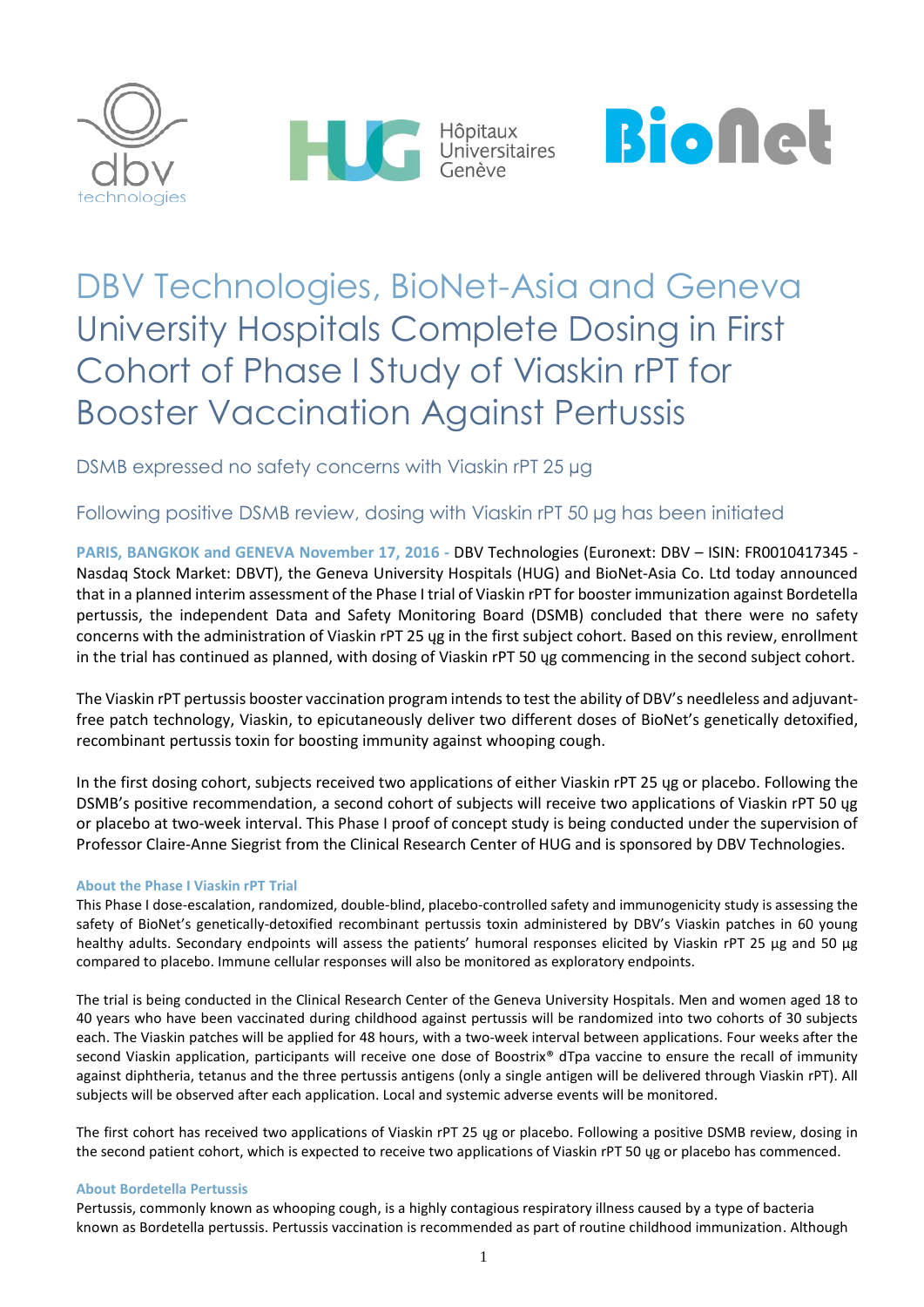





# DBV Technologies, BioNet-Asia and Geneva University Hospitals Complete Dosing in First Cohort of Phase I Study of Viaskin rPT for Booster Vaccination Against Pertussis

DSMB expressed no safety concerns with Viaskin rPT 25 µg

# Following positive DSMB review, dosing with Viaskin rPT 50 µg has been initiated

**PARIS, BANGKOK and GENEVA November 17, 2016 -** DBV Technologies (Euronext: DBV – ISIN: FR0010417345 - Nasdaq Stock Market: DBVT), the Geneva University Hospitals (HUG) and BioNet-Asia Co. Ltd today announced that in a planned interim assessment of the Phase I trial of Viaskin rPT for booster immunization against Bordetella pertussis, the independent Data and Safety Monitoring Board (DSMB) concluded that there were no safety concerns with the administration of Viaskin rPT 25 ųg in the first subject cohort. Based on this review, enrollment in the trial has continued as planned, with dosing of Viaskin rPT 50 ųg commencing in the second subject cohort.

The Viaskin rPT pertussis booster vaccination program intends to test the ability of DBV's needleless and adjuvantfree patch technology, Viaskin, to epicutaneously deliver two different doses of BioNet's genetically detoxified, recombinant pertussis toxin for boosting immunity against whooping cough.

In the first dosing cohort, subjects received two applications of either Viaskin rPT 25 ųg or placebo. Following the DSMB's positive recommendation, a second cohort of subjects will receive two applications of Viaskin rPT 50 ųg or placebo at two-week interval. This Phase I proof of concept study is being conducted under the supervision of Professor Claire-Anne Siegrist from the Clinical Research Center of HUG and is sponsored by DBV Technologies.

# **About the Phase I Viaskin rPT Trial**

This Phase I dose-escalation, randomized, double-blind, placebo-controlled safety and immunogenicity study is assessing the safety of BioNet's genetically-detoxified recombinant pertussis toxin administered by DBV's Viaskin patches in 60 young healthy adults. Secondary endpoints will assess the patients' humoral responses elicited by Viaskin rPT 25 μg and 50 μg compared to placebo. Immune cellular responses will also be monitored as exploratory endpoints.

The trial is being conducted in the Clinical Research Center of the Geneva University Hospitals. Men and women aged 18 to 40 years who have been vaccinated during childhood against pertussis will be randomized into two cohorts of 30 subjects each. The Viaskin patches will be applied for 48 hours, with a two-week interval between applications. Four weeks after the second Viaskin application, participants will receive one dose of Boostrix® dTpa vaccine to ensure the recall of immunity against diphtheria, tetanus and the three pertussis antigens (only a single antigen will be delivered through Viaskin rPT). All subjects will be observed after each application. Local and systemic adverse events will be monitored.

The first cohort has received two applications of Viaskin rPT 25 ųg or placebo. Following a positive DSMB review, dosing in the second patient cohort, which is expected to receive two applications of Viaskin rPT 50 ųg or placebo has commenced.

## **About Bordetella Pertussis**

Pertussis, commonly known as whooping cough, is a highly contagious respiratory illness caused by a type of bacteria known as Bordetella pertussis. Pertussis vaccination is recommended as part of routine childhood immunization. Although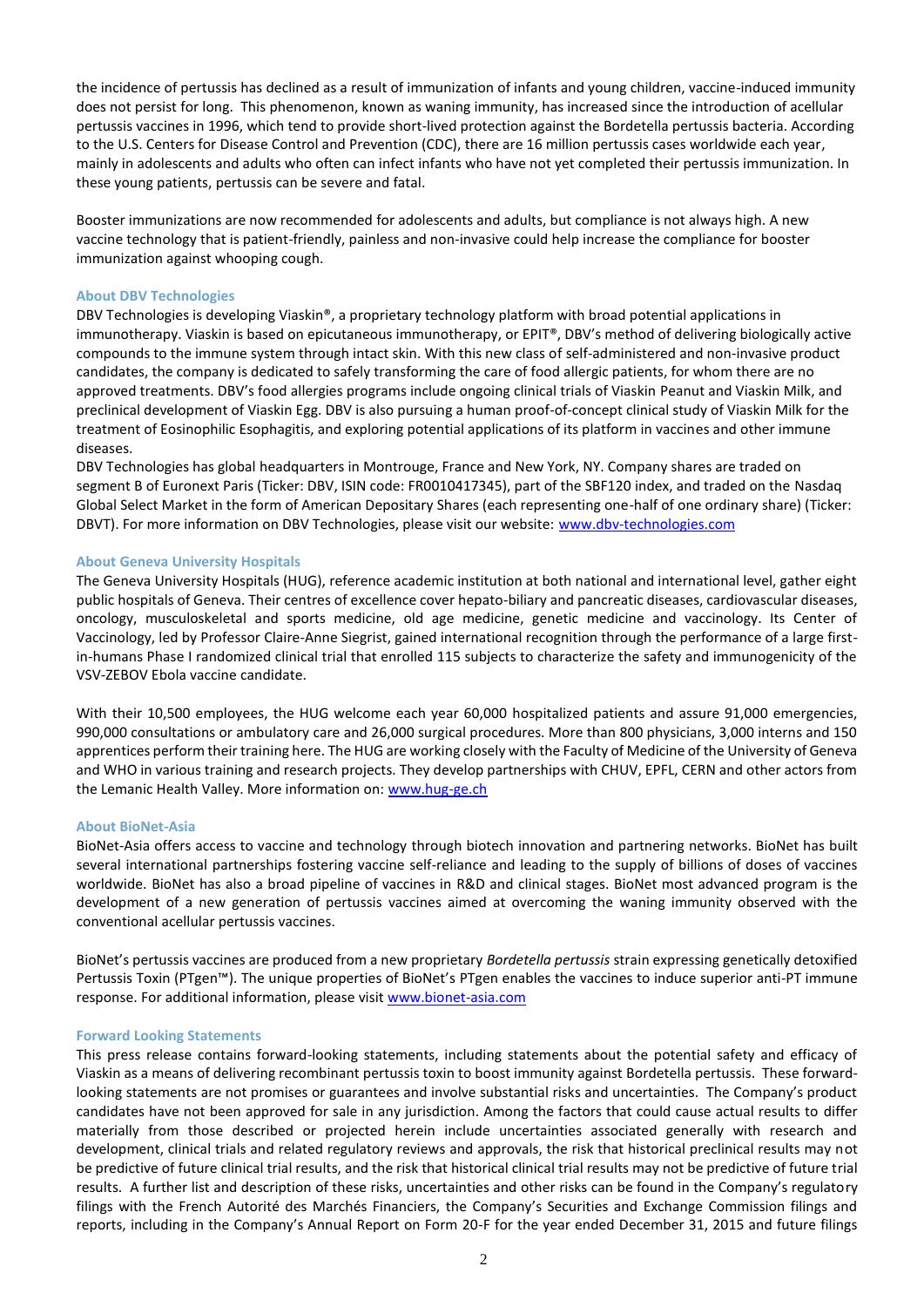the incidence of pertussis has declined as a result of immunization of infants and young children, vaccine-induced immunity does not persist for long. This phenomenon, known as waning immunity, has increased since the introduction of acellular pertussis vaccines in 1996, which tend to provide short-lived protection against the Bordetella pertussis bacteria. According to the U.S. Centers for Disease Control and Prevention (CDC), there are 16 million pertussis cases worldwide each year, mainly in adolescents and adults who often can infect infants who have not yet completed their pertussis immunization. In these young patients, pertussis can be severe and fatal.

Booster immunizations are now recommended for adolescents and adults, but compliance is not always high. A new vaccine technology that is patient-friendly, painless and non-invasive could help increase the compliance for booster immunization against whooping cough.

#### **About DBV Technologies**

DBV Technologies is developing Viaskin®, a proprietary technology platform with broad potential applications in immunotherapy. Viaskin is based on epicutaneous immunotherapy, or EPIT®, DBV's method of delivering biologically active compounds to the immune system through intact skin. With this new class of self-administered and non-invasive product candidates, the company is dedicated to safely transforming the care of food allergic patients, for whom there are no approved treatments. DBV's food allergies programs include ongoing clinical trials of Viaskin Peanut and Viaskin Milk, and preclinical development of Viaskin Egg. DBV is also pursuing a human proof-of-concept clinical study of Viaskin Milk for the treatment of Eosinophilic Esophagitis, and exploring potential applications of its platform in vaccines and other immune diseases.

DBV Technologies has global headquarters in Montrouge, France and New York, NY. Company shares are traded on segment B of Euronext Paris (Ticker: DBV, ISIN code: FR0010417345), part of the SBF120 index, and traded on the Nasdaq Global Select Market in the form of American Depositary Shares (each representing one-half of one ordinary share) (Ticker: DBVT). For more information on DBV Technologies, please visit our website: [www.dbv-technologies.com](http://www.dbv-technologies.com/)

#### **About Geneva University Hospitals**

The Geneva University Hospitals (HUG), reference academic institution at both national and international level, gather eight public hospitals of Geneva. Their centres of excellence cover hepato-biliary and pancreatic diseases, cardiovascular diseases, oncology, musculoskeletal and sports medicine, old age medicine, genetic medicine and vaccinology. Its Center of Vaccinology, led by Professor Claire-Anne Siegrist, gained international recognition through the performance of a large firstin-humans Phase I randomized clinical trial that enrolled 115 subjects to characterize the safety and immunogenicity of the VSV-ZEBOV Ebola vaccine candidate.

With their 10,500 employees, the HUG welcome each year 60,000 hospitalized patients and assure 91,000 emergencies, 990,000 consultations or ambulatory care and 26,000 surgical procedures. More than 800 physicians, 3,000 interns and 150 apprentices perform their training here. The HUG are working closely with the Faculty of Medicine of the University of Geneva and WHO in various training and research projects. They develop partnerships with CHUV, EPFL, CERN and other actors from the Lemanic Health Valley. More information on: [www.hug-ge.ch](http://www.hug-ge.ch/)

#### **About BioNet-Asia**

BioNet-Asia offers access to vaccine and technology through biotech innovation and partnering networks. BioNet has built several international partnerships fostering vaccine self-reliance and leading to the supply of billions of doses of vaccines worldwide. BioNet has also a broad pipeline of vaccines in R&D and clinical stages. BioNet most advanced program is the development of a new generation of pertussis vaccines aimed at overcoming the waning immunity observed with the conventional acellular pertussis vaccines.

BioNet's pertussis vaccines are produced from a new proprietary *Bordetella pertussis* strain expressing genetically detoxified Pertussis Toxin (PTgen™). The unique properties of BioNet's PTgen enables the vaccines to induce superior anti-PT immune response. For additional information, please visit [www.bionet-asia.com](http://www.bionet-asia.com/) 

#### **Forward Looking Statements**

This press release contains forward-looking statements, including statements about the potential safety and efficacy of Viaskin as a means of delivering recombinant pertussis toxin to boost immunity against Bordetella pertussis. These forwardlooking statements are not promises or guarantees and involve substantial risks and uncertainties. The Company's product candidates have not been approved for sale in any jurisdiction. Among the factors that could cause actual results to differ materially from those described or projected herein include uncertainties associated generally with research and development, clinical trials and related regulatory reviews and approvals, the risk that historical preclinical results may not be predictive of future clinical trial results, and the risk that historical clinical trial results may not be predictive of future trial results. A further list and description of these risks, uncertainties and other risks can be found in the Company's regulatory filings with the French Autorité des Marchés Financiers, the Company's Securities and Exchange Commission filings and reports, including in the Company's Annual Report on Form 20-F for the year ended December 31, 2015 and future filings